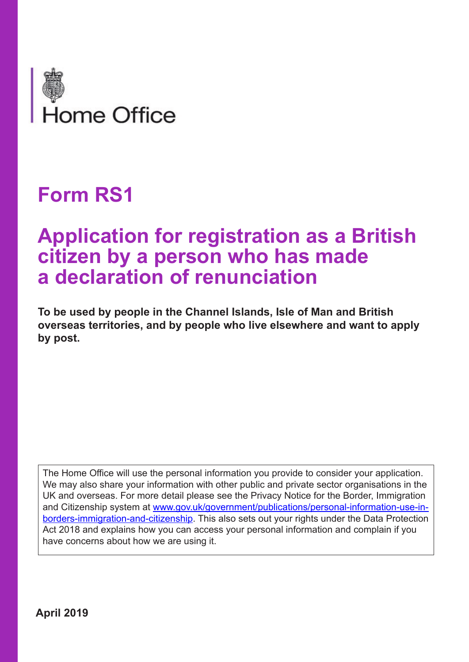

# **Form RS1**

# **Application for registration as a British citizen by a person who has made a declaration of renunciation**

**To be used by people in the Channel Islands, Isle of Man and British overseas territories, and by people who live elsewhere and want to apply by post.** 

The Home Office will use the personal information you provide to consider your application. We may also share your information with other public and private sector organisations in the UK and overseas. For more detail please see the Privacy Notice for the Border, Immigration and Citizenship system at www.gov.uk/government/publications/personal-information-use-inborders-immigration-and-citizenship. This also sets out your rights under the Data Protection Act 2018 and explains how you can access your personal information and complain if you have concerns about how we are using it.

**April 2019**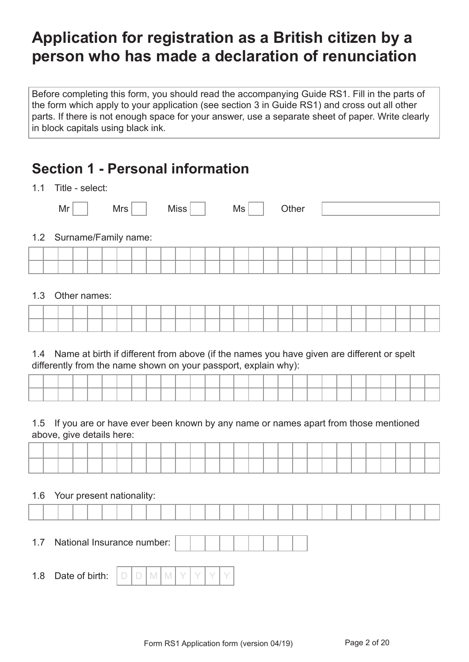## **Application for registration as a British citizen by a person who has made a declaration of renunciation**

Before completing this form, you should read the accompanying Guide RS1. Fill in the parts of the form which apply to your application (see section 3 in Guide RS1) and cross out all other parts. If there is not enough space for your answer, use a separate sheet of paper. Write clearly in block capitals using black ink.

## **Section 1 - Personal information**

1.1 Title coloct:

| .   | $110C - 3C1C$            |     |      |    |       |  |  |  |
|-----|--------------------------|-----|------|----|-------|--|--|--|
|     | Mr                       | Mrs | Miss | Ms | Other |  |  |  |
|     | 1.2 Surname/Family name: |     |      |    |       |  |  |  |
|     |                          |     |      |    |       |  |  |  |
|     |                          |     |      |    |       |  |  |  |
|     |                          |     |      |    |       |  |  |  |
| 1.3 | Other names:             |     |      |    |       |  |  |  |
|     |                          |     |      |    |       |  |  |  |

|  |  |  |  |  |  |  | . |  |  | ___ |  | _____ |  |
|--|--|--|--|--|--|--|---|--|--|-----|--|-------|--|
|  |  |  |  |  |  |  |   |  |  |     |  |       |  |
|  |  |  |  |  |  |  |   |  |  |     |  |       |  |

1.4 Name at birth if different from above (if the names you have given are different or spelt differently from the name shown on your passport, explain why):

|  |  |  |  |  |  |  |  |  |  |  |  | ___ |  |
|--|--|--|--|--|--|--|--|--|--|--|--|-----|--|

1.5 If you are or have ever been known by any name or names apart from those mentioned above, give details here:

#### 1.6 Your present nationality:

| 1.7 | National Insurance number:                                                                               |  |  |  |  |  |  |  |  |  |
|-----|----------------------------------------------------------------------------------------------------------|--|--|--|--|--|--|--|--|--|
| 1.8 | Date of birth: $\bigcup$ $\bigcup$ $\bigcup$ $\bigcup$ $\bigcup$ $\bigcup$ $\bigcup$ $\bigcup$ $\bigcap$ |  |  |  |  |  |  |  |  |  |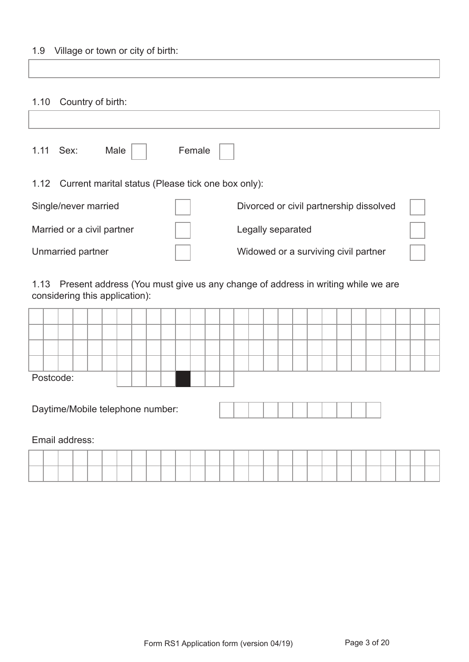#### 1.9 Village or town or city of birth:

#### 1.10 Country of birth:

| 1.11 | Sex:                       | Male                                               | Female |                                         |  |
|------|----------------------------|----------------------------------------------------|--------|-----------------------------------------|--|
| 1.12 |                            | Current marital status (Please tick one box only): |        |                                         |  |
|      | Single/never married       |                                                    |        | Divorced or civil partnership dissolved |  |
|      | Married or a civil partner |                                                    |        | Legally separated                       |  |
|      | Unmarried partner          |                                                    |        | Widowed or a surviving civil partner    |  |

1.13 Present address (You must give us any change of address in writing while we are considering this application):

|  | Postcode: |  |  |  |  |  |  |  |  |  |  |  |  |  |
|--|-----------|--|--|--|--|--|--|--|--|--|--|--|--|--|

Daytime/Mobile telephone number:

Email address:

|  |  | ________ |  |  |  |  | . |  |  |  |  |  | the contract of the contract of the contract of the contract of the contract of the contract of the contract of |  |
|--|--|----------|--|--|--|--|---|--|--|--|--|--|-----------------------------------------------------------------------------------------------------------------|--|
|  |  |          |  |  |  |  |   |  |  |  |  |  |                                                                                                                 |  |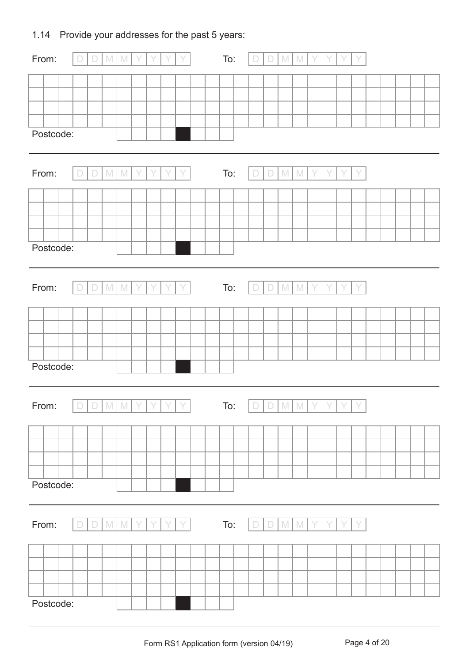### 1.14 Provide your addresses for the past 5 years:

| From:     | $\Box$<br>$\Box$ | $\mathbb{M}$<br>$\mathbb{M}$ |   |   |         | To: | $\Box$          | $\Box$ | $\mathbb M$ | $\mathbb{M}$  |   |   |   |  |  |  |
|-----------|------------------|------------------------------|---|---|---------|-----|-----------------|--------|-------------|---------------|---|---|---|--|--|--|
|           |                  |                              |   |   |         |     |                 |        |             |               |   |   |   |  |  |  |
|           |                  |                              |   |   |         |     |                 |        |             |               |   |   |   |  |  |  |
|           |                  |                              |   |   |         |     |                 |        |             |               |   |   |   |  |  |  |
| Postcode: |                  |                              |   |   |         |     |                 |        |             |               |   |   |   |  |  |  |
|           |                  |                              |   |   |         |     |                 |        |             |               |   |   |   |  |  |  |
| From:     | $\Box$<br>$\Box$ | $\mathbb M$<br>$\mathbb M$   |   |   | Y       | To: | $\Box$          | $\Box$ | $M_{\odot}$ | M             |   |   |   |  |  |  |
|           |                  |                              |   |   |         |     |                 |        |             |               |   |   |   |  |  |  |
|           |                  |                              |   |   |         |     |                 |        |             |               |   |   |   |  |  |  |
|           |                  |                              |   |   |         |     |                 |        |             |               |   |   |   |  |  |  |
| Postcode: |                  |                              |   |   |         |     |                 |        |             |               |   |   |   |  |  |  |
|           |                  |                              |   |   |         |     |                 |        |             |               |   |   |   |  |  |  |
| From:     | $\Box$<br>$\Box$ | ${\mathbb M}$<br>$\mathbb N$ | Y | Y | Y<br>Y  | To: | $\Box$          | $\Box$ | $M_{\odot}$ | $\mathbb N$   | Y | Y | Y |  |  |  |
|           |                  |                              |   |   |         |     |                 |        |             |               |   |   |   |  |  |  |
|           |                  |                              |   |   |         |     |                 |        |             |               |   |   |   |  |  |  |
|           |                  |                              |   |   |         |     |                 |        |             |               |   |   |   |  |  |  |
|           |                  |                              |   |   |         |     |                 |        |             |               |   |   |   |  |  |  |
| Postcode: |                  |                              |   |   |         |     |                 |        |             |               |   |   |   |  |  |  |
|           |                  |                              |   |   |         |     |                 |        |             |               |   |   |   |  |  |  |
| From:     | D D M M Y Y Y Y  |                              |   |   |         | To: | D D M M Y Y Y Y |        |             |               |   |   |   |  |  |  |
|           |                  |                              |   |   |         |     |                 |        |             |               |   |   |   |  |  |  |
|           |                  |                              |   |   |         |     |                 |        |             |               |   |   |   |  |  |  |
|           |                  |                              |   |   |         |     |                 |        |             |               |   |   |   |  |  |  |
| Postcode: |                  |                              |   |   |         |     |                 |        |             |               |   |   |   |  |  |  |
|           |                  |                              |   |   |         |     |                 |        |             |               |   |   |   |  |  |  |
|           |                  |                              |   |   |         |     |                 |        |             |               |   |   |   |  |  |  |
| From:     | $\Box$<br>$\Box$ | $\mathsf{M}$<br>$\mathbb N$  |   | Y | Y<br>Y. | To: | $\Box$          | $\Box$ | $M_{\odot}$ | ${\mathbb M}$ |   |   |   |  |  |  |
|           |                  |                              |   |   |         |     |                 |        |             |               |   |   |   |  |  |  |
|           |                  |                              |   |   |         |     |                 |        |             |               |   |   |   |  |  |  |
|           |                  |                              |   |   |         |     |                 |        |             |               |   |   |   |  |  |  |
| Postcode: |                  |                              |   |   |         |     |                 |        |             |               |   |   |   |  |  |  |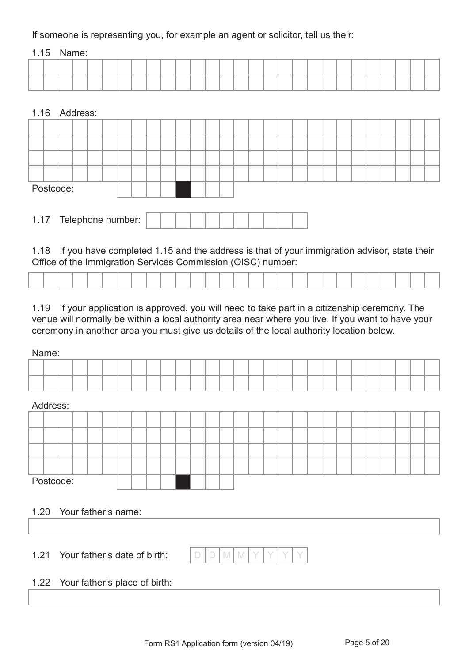If someone is representing you, for example an agent or solicitor, tell us their:

#### 1.15 Name:

|  | ___ | ____ |  |  |  | _____ |  |  |  |  | _____ |  | ___ |  |  |
|--|-----|------|--|--|--|-------|--|--|--|--|-------|--|-----|--|--|
|  |     |      |  |  |  |       |  |  |  |  |       |  |     |  |  |

#### 1.16 Address:

|  | Postcode: |  |  |  |  |  |  |  |  |  |  |  |  |  |
|--|-----------|--|--|--|--|--|--|--|--|--|--|--|--|--|

| Telephone number: |  |  |  |  |  |  |  |  |  |  |  |  |
|-------------------|--|--|--|--|--|--|--|--|--|--|--|--|
|-------------------|--|--|--|--|--|--|--|--|--|--|--|--|

1.18 If you have completed 1.15 and the address is that of your immigration advisor, state their Office of the Immigration Services Commission (OISC) number:

1.19 If your application is approved, you will need to take part in a citizenship ceremony. The venue will normally be within a local authority area near where you live. If you want to have your ceremony in another area you must give us details of the local authority location below.

#### Name:

#### Address:



#### 1.20 Your father's name:

1.21 Your father's date of birth:  $\Box$  D  $\Box$  M M Y

### 1.22 Your father's place of birth: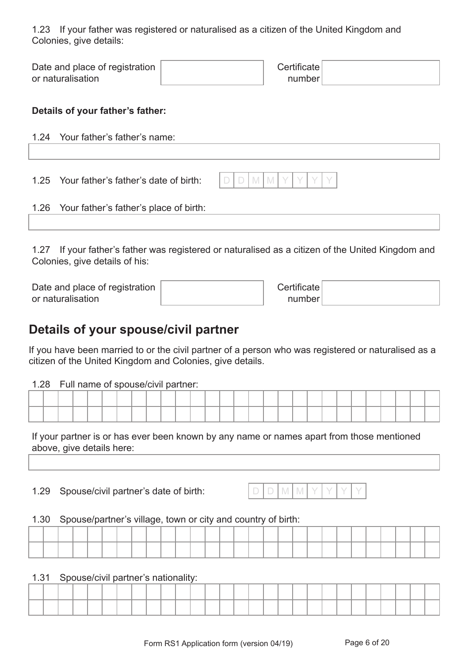1.23 If your father was registered or naturalised as a citizen of the United Kingdom and Colonies, give details:

| Date and place of registration | Certificate |  |
|--------------------------------|-------------|--|
| or naturalisation              | number!     |  |

#### **Details of your father's father:**

| 1.24 Your father's father's name:           |                 |
|---------------------------------------------|-----------------|
| 1.25 Your father's father's date of birth:  | $D D M M Y Y Y$ |
| 1.26 Your father's father's place of birth: |                 |

1.27 If your father's father was registered or naturalised as a citizen of the United Kingdom and Colonies, give details of his:

| Date and place of registration | <b>Certificate</b> |  |
|--------------------------------|--------------------|--|
| or naturalisation              | number             |  |

### **Details of your spouse/civil partner**

If you have been married to or the civil partner of a person who was registered or naturalised as a citizen of the United Kingdom and Colonies, give details.

#### 1.28 Full name of spouse/civil partner:

If your partner is or has ever been known by any name or names apart from those mentioned above, give details here:

1.29 Spouse/civil partner's date of birth:

|--|

#### 1.30 Spouse/partner's village, town or city and country of birth:

#### 1.31 Spouse/civil partner's nationality: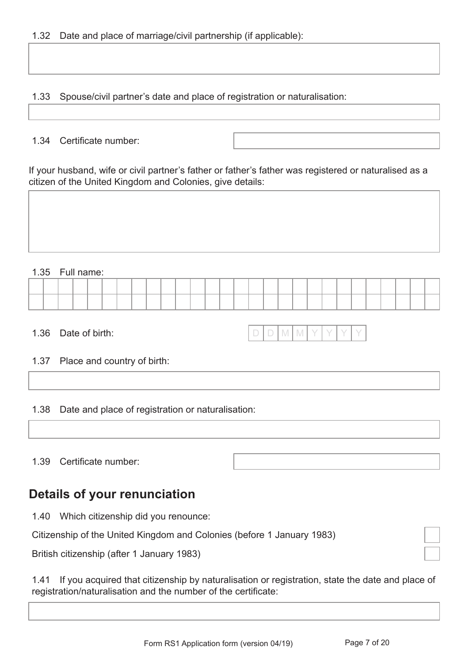1.33 Spouse/civil partner's date and place of registration or naturalisation:

#### 1.34 Certificate number:

If your husband, wife or civil partner's father or father's father was registered or naturalised as a citizen of the United Kingdom and Colonies, give details:

#### 1.35 Full name:

|  |  |  |  |  |  |  |  |  |  | ____ |  |  |  |
|--|--|--|--|--|--|--|--|--|--|------|--|--|--|
|  |  |  |  |  |  |  |  |  |  |      |  |  |  |

1.36 Date of birth:

|--|--|--|--|--|--|--|--|

#### 1.37 Place and country of birth:

1.38 Date and place of registration or naturalisation:

1.39 Certificate number:

## **Details of your renunciation**

1.40 Which citizenship did you renounce:

Citizenship of the United Kingdom and Colonies (before 1 January 1983)

British citizenship (after 1 January 1983)

1.41 If you acquired that citizenship by naturalisation or registration, state the date and place of registration/naturalisation and the number of the certificate: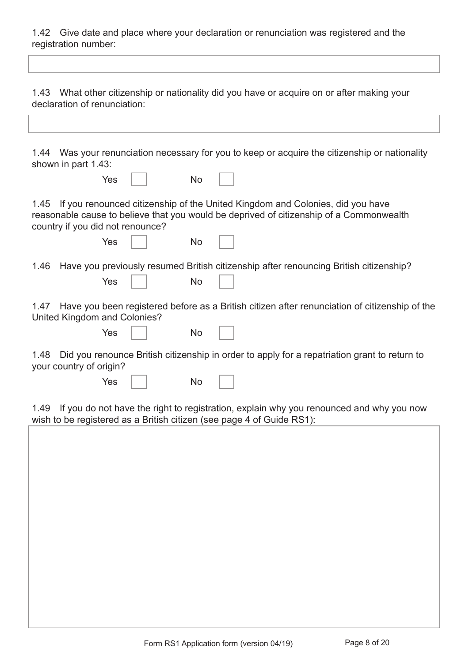1.42 Give date and place where your declaration or renunciation was registered and the registration number:

| What other citizenship or nationality did you have or acquire on or after making your<br>1.43<br>declaration of renunciation:                                                                                        |
|----------------------------------------------------------------------------------------------------------------------------------------------------------------------------------------------------------------------|
|                                                                                                                                                                                                                      |
| 1.44 Was your renunciation necessary for you to keep or acquire the citizenship or nationality<br>shown in part 1.43:                                                                                                |
| Yes<br>No                                                                                                                                                                                                            |
| If you renounced citizenship of the United Kingdom and Colonies, did you have<br>1.45<br>reasonable cause to believe that you would be deprived of citizenship of a Commonwealth<br>country if you did not renounce? |
| Yes<br><b>No</b>                                                                                                                                                                                                     |
| Have you previously resumed British citizenship after renouncing British citizenship?<br>1.46<br>Yes<br>No                                                                                                           |
| Have you been registered before as a British citizen after renunciation of citizenship of the<br>1.47<br>United Kingdom and Colonies?                                                                                |
| Yes<br>No                                                                                                                                                                                                            |
| Did you renounce British citizenship in order to apply for a repatriation grant to return to<br>1.48<br>your country of origin?                                                                                      |
| Yes<br>No                                                                                                                                                                                                            |
| If you do not have the right to registration, explain why you renounced and why you now<br>1.49<br>wish to be registered as a British citizen (see page 4 of Guide RS1):                                             |
|                                                                                                                                                                                                                      |
|                                                                                                                                                                                                                      |
|                                                                                                                                                                                                                      |
|                                                                                                                                                                                                                      |
|                                                                                                                                                                                                                      |
|                                                                                                                                                                                                                      |
|                                                                                                                                                                                                                      |
|                                                                                                                                                                                                                      |
|                                                                                                                                                                                                                      |
|                                                                                                                                                                                                                      |
|                                                                                                                                                                                                                      |
|                                                                                                                                                                                                                      |
|                                                                                                                                                                                                                      |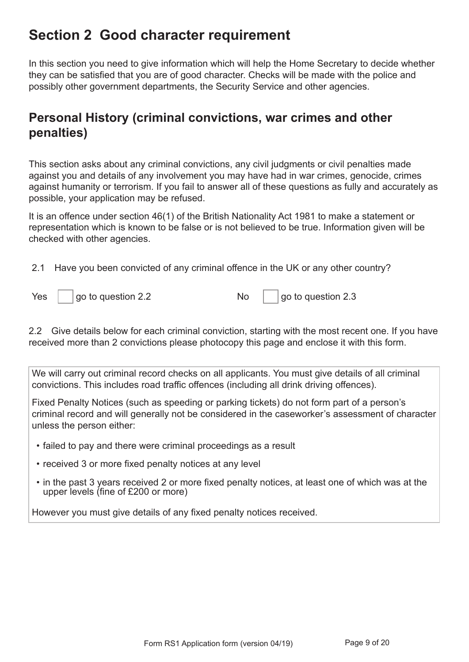## **Section 2 Good character requirement**

In this section you need to give information which will help the Home Secretary to decide whether they can be satisfied that you are of good character. Checks will be made with the police and possibly other government departments, the Security Service and other agencies.

## **Personal History (criminal convictions, war crimes and other penalties)**

This section asks about any criminal convictions, any civil judgments or civil penalties made against you and details of any involvement you may have had in war crimes, genocide, crimes against humanity or terrorism. If you fail to answer all of these questions as fully and accurately as possible, your application may be refused.

It is an offence under section 46(1) of the British Nationality Act 1981 to make a statement or representation which is known to be false or is not believed to be true. Information given will be checked with other agencies.

2.1 Have you been convicted of any criminal offence in the UK or any other country?

| Yes | go to question 2.2 |  | $\vert$ go to question 2.3 |
|-----|--------------------|--|----------------------------|
|-----|--------------------|--|----------------------------|

2.2 Give details below for each criminal conviction, starting with the most recent one. If you have received more than 2 convictions please photocopy this page and enclose it with this form.

We will carry out criminal record checks on all applicants. You must give details of all criminal convictions. This includes road traffic offences (including all drink driving offences).

Fixed Penalty Notices (such as speeding or parking tickets) do not form part of a person's criminal record and will generally not be considered in the caseworker's assessment of character unless the person either:

- failed to pay and there were criminal proceedings as a result
- received 3 or more fixed penalty notices at any level
- in the past 3 years received 2 or more fixed penalty notices, at least one of which was at the upper levels (fine of £200 or more)

However you must give details of any fixed penalty notices received.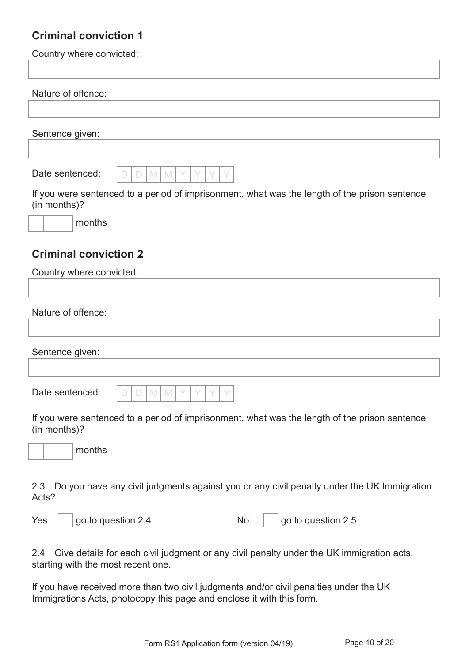### **Criminal conviction 1**

Country where convicted:

#### Nature of offence:

#### Sentence given:



If you were sentenced to a period of imprisonment, what was the length of the prison sentence (in months)?



### **Criminal conviction 2**

| Country where convicted: |                                      |  |
|--------------------------|--------------------------------------|--|
|                          |                                      |  |
| Nature of offence:       |                                      |  |
|                          |                                      |  |
| Sentence given:          |                                      |  |
|                          |                                      |  |
| Date sentenced:          | $D D M M Y Y Y$<br>$\overline{\vee}$ |  |

If you were sentenced to a period of imprisonment, what was the length of the prison sentence (in months)?



2.3 Do you have any civil judgments against you or any civil penalty under the UK Immigration Acts?

| Yes | $ $ go to question 2.4 |  | $\vert$ go to question 2.5 |
|-----|------------------------|--|----------------------------|
|-----|------------------------|--|----------------------------|

2.4 Give details for each civil judgment or any civil penalty under the UK immigration acts, starting with the most recent one.

If you have received more than two civil judgments and/or civil penalties under the UK Immigrations Acts, photocopy this page and enclose it with this form.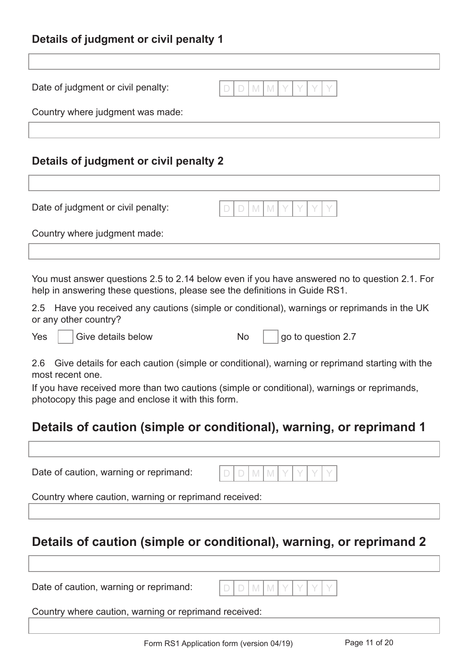### **Details of judgment or civil penalty 1**

| Date of judgment or civil penalty:<br>M<br>M<br>$\Box$                                                                                                                       |  |
|------------------------------------------------------------------------------------------------------------------------------------------------------------------------------|--|
| Country where judgment was made:                                                                                                                                             |  |
|                                                                                                                                                                              |  |
| Details of judgment or civil penalty 2                                                                                                                                       |  |
|                                                                                                                                                                              |  |
| Date of judgment or civil penalty:<br>M<br>M<br>$\Box$                                                                                                                       |  |
| Country where judgment made:                                                                                                                                                 |  |
|                                                                                                                                                                              |  |
| You must answer questions 2.5 to 2.14 below even if you have answered no to question 2.1. For<br>help in answering these questions, please see the definitions in Guide RS1. |  |
| Have you received any cautions (simple or conditional), warnings or reprimands in the UK<br>2.5<br>or any other country?                                                     |  |
| go to question 2.7<br>Give details below<br>No<br>Yes                                                                                                                        |  |
| Give details for each caution (simple or conditional), warning or reprimand starting with the<br>2.6<br>most recent one.                                                     |  |
| If you have received more than two cautions (simple or conditional), warnings or reprimands,<br>photocopy this page and enclose it with this form.                           |  |
| Details of caution (simple or conditional), warning, or reprimand 1                                                                                                          |  |
|                                                                                                                                                                              |  |
| Date of caution, warning or reprimand:<br>M                                                                                                                                  |  |
| Country where caution, warning or reprimand received:                                                                                                                        |  |
|                                                                                                                                                                              |  |
| Details of caution (simple or conditional), warning, or reprimand 2                                                                                                          |  |

Date of caution, warning or reprimand:

|--|--|--|--|--|--|--|--|

Country where caution, warning or reprimand received: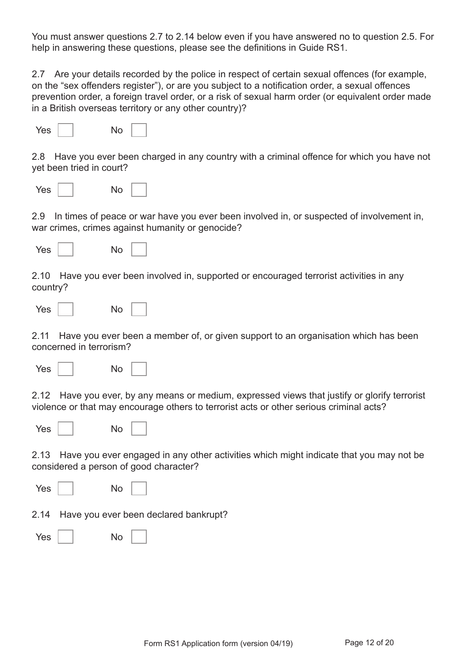You must answer questions 2.7 to 2.14 below even if you have answered no to question 2.5. For help in answering these questions, please see the definitions in Guide RS1.

2.7 Are your details recorded by the police in respect of certain sexual offences (for example, on the "sex offenders register"), or are you subject to a notification order, a sexual offences prevention order, a foreign travel order, or a risk of sexual harm order (or equivalent order made in a British overseas territory or any other country)?

| Yes.<br>No |  |
|------------|--|
|------------|--|

2.8 Have you ever been charged in any country with a criminal offence for which you have not yet been tried in court?

| <b>Yes</b> | No |  |
|------------|----|--|
|            |    |  |

2.9 In times of peace or war have you ever been involved in, or suspected of involvement in, war crimes, crimes against humanity or genocide?

| Yes<br>No |  |
|-----------|--|
|-----------|--|

2.10 Have you ever been involved in, supported or encouraged terrorist activities in any country?

| <b>Yes</b> |  | No |  |
|------------|--|----|--|
|------------|--|----|--|

2.11 Have you ever been a member of, or given support to an organisation which has been concerned in terrorism?

| No |
|----|
|    |

2.12 Have you ever, by any means or medium, expressed views that justify or glorify terrorist violence or that may encourage others to terrorist acts or other serious criminal acts?

| <b>Yes</b><br>No |  |
|------------------|--|
|------------------|--|

2.13 Have you ever engaged in any other activities which might indicate that you may not be considered a person of good character?

| Yes $ $ | No                                         |
|---------|--------------------------------------------|
|         | 2.14 Have you ever been declared bankrupt? |
|         | No<br>Yes I I                              |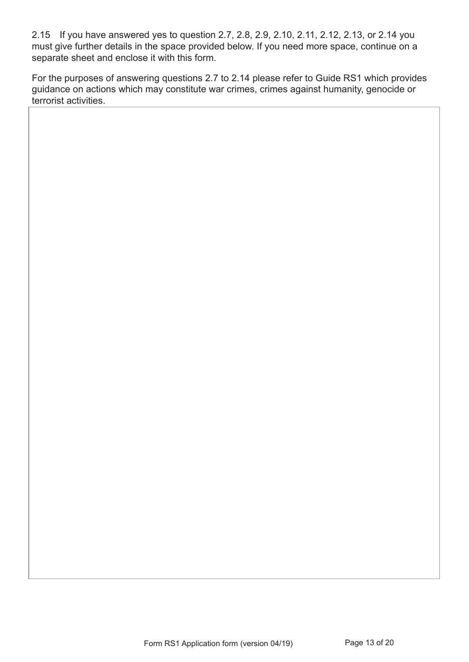2.15 If you have answered yes to question 2.7, 2.8, 2.9, 2.10, 2.11, 2.12, 2.13, or 2.14 you must give further details in the space provided below. If you need more space, continue on a separate sheet and enclose it with this form.

For the purposes of answering questions 2.7 to 2.14 please refer to Guide RS1 which provides guidance on actions which may constitute war crimes, crimes against humanity, genocide or terrorist activities.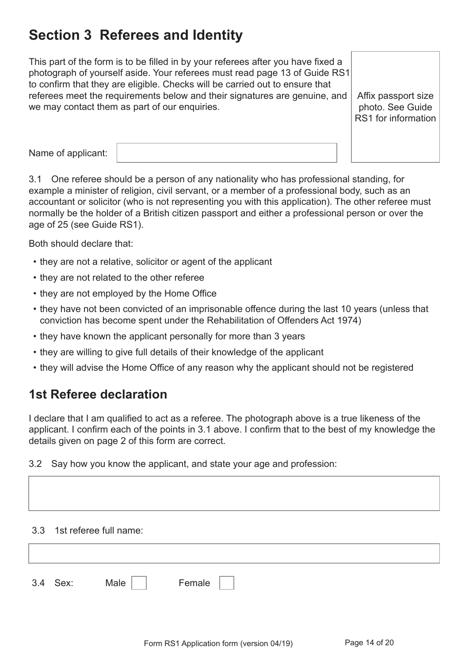## **Section 3 Referees and Identity**

This part of the form is to be filled in by your referees after you have fixed a photograph of yourself aside. Your referees must read page 13 of Guide RS1 to confirm that they are eligible. Checks will be carried out to ensure that referees meet the requirements below and their signatures are genuine, and we may contact them as part of our enquiries.

Affix passport size photo. See Guide RS1 for information

Name of applicant:

3.1 One referee should be a person of any nationality who has professional standing, for example a minister of religion, civil servant, or a member of a professional body, such as an accountant or solicitor (who is not representing you with this application). The other referee must normally be the holder of a British citizen passport and either a professional person or over the age of 25 (see Guide RS1).

Both should declare that:

- they are not a relative, solicitor or agent of the applicant
- they are not related to the other referee
- they are not employed by the Home Office
- they have not been convicted of an imprisonable offence during the last 10 years (unless that conviction has become spent under the Rehabilitation of Offenders Act 1974)
- they have known the applicant personally for more than 3 years
- they are willing to give full details of their knowledge of the applicant
- they will advise the Home Office of any reason why the applicant should not be registered

## **1st Referee declaration**

I declare that I am qualified to act as a referee. The photograph above is a true likeness of the applicant. I confirm each of the points in 3.1 above. I confirm that to the best of my knowledge the details given on page 2 of this form are correct.

3.2 Say how you know the applicant, and state your age and profession:

#### 3.3 1st referee full name:

| $\Omega$<br>0.5 | Sex: | Male ' | <b>GIII</b> dic |
|-----------------|------|--------|-----------------|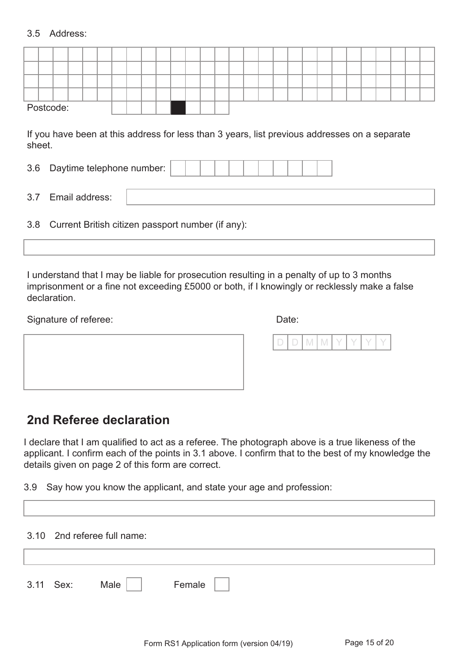#### 3.5 Address:

|     |                                                                                                         | Postcode:      |  |  |  |  |  |  |  |  |  |  |  |  |  |  |  |  |  |  |
|-----|---------------------------------------------------------------------------------------------------------|----------------|--|--|--|--|--|--|--|--|--|--|--|--|--|--|--|--|--|--|
|     | If you have been at this address for less than 3 years, list previous addresses on a separate<br>sheet. |                |  |  |  |  |  |  |  |  |  |  |  |  |  |  |  |  |  |  |
|     | Daytime telephone number:<br>3.6                                                                        |                |  |  |  |  |  |  |  |  |  |  |  |  |  |  |  |  |  |  |
| 3.7 |                                                                                                         | Email address: |  |  |  |  |  |  |  |  |  |  |  |  |  |  |  |  |  |  |
|     | 3.8<br>Current British citizen passport number (if any):                                                |                |  |  |  |  |  |  |  |  |  |  |  |  |  |  |  |  |  |  |
|     |                                                                                                         |                |  |  |  |  |  |  |  |  |  |  |  |  |  |  |  |  |  |  |
|     |                                                                                                         |                |  |  |  |  |  |  |  |  |  |  |  |  |  |  |  |  |  |  |

I understand that I may be liable for prosecution resulting in a penalty of up to 3 months imprisonment or a fine not exceeding £5000 or both, if I knowingly or recklessly make a false declaration.

Signature of referee: Date: Date:

|--|--|--|--|

### **2nd Referee declaration**

I declare that I am qualified to act as a referee. The photograph above is a true likeness of the applicant. I confirm each of the points in 3.1 above. I confirm that to the best of my knowledge the details given on page 2 of this form are correct.

3.9 Say how you know the applicant, and state your age and profession:

|           | 3.10 2nd referee full name: |        |  |  |
|-----------|-----------------------------|--------|--|--|
| 3.11 Sex: | Male                        | Female |  |  |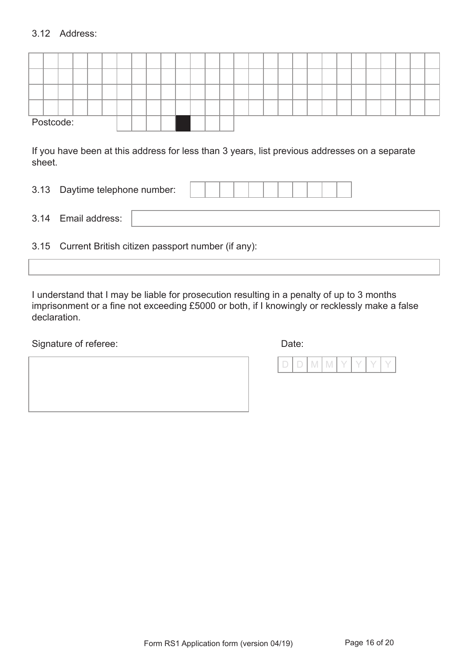#### 3.12 Address:

|  | Postcode: |  |  |  |  |  |  |  |  |  |  |  |  |  |
|--|-----------|--|--|--|--|--|--|--|--|--|--|--|--|--|

If you have been at this address for less than 3 years, list previous addresses on a separate sheet.

| 3.13<br>Daytime telephone number: |  |  |  |  |  |  |  |  |  |  |  |  |
|-----------------------------------|--|--|--|--|--|--|--|--|--|--|--|--|
|-----------------------------------|--|--|--|--|--|--|--|--|--|--|--|--|

| $\sim$<br>$-$<br>drocc.<br>$-$<br>$\sqrt{ }$<br>≺<br>-mar<br>J.<br>PUULTOS.<br>_ |
|----------------------------------------------------------------------------------|
|----------------------------------------------------------------------------------|

3.15 Current British citizen passport number (if any):

I understand that I may be liable for prosecution resulting in a penalty of up to 3 months imprisonment or a fine not exceeding £5000 or both, if I knowingly or recklessly make a false declaration.

Signature of referee: Date: Date: Date:

|  | V |  |  |  |
|--|---|--|--|--|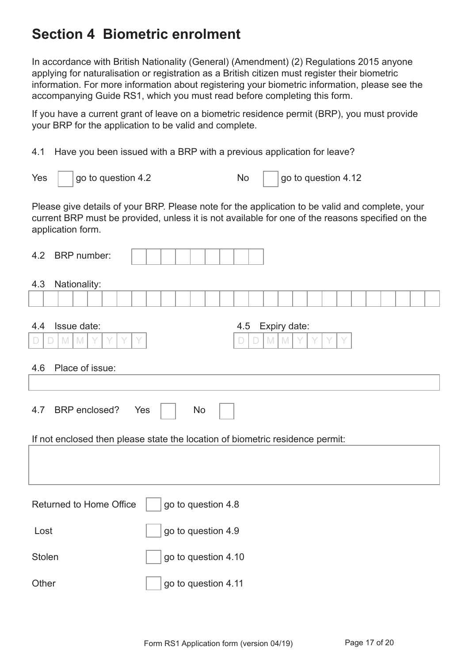## **Section 4 Biometric enrolment**

In accordance with British Nationality (General) (Amendment) (2) Regulations 2015 anyone applying for naturalisation or registration as a British citizen must register their biometric information. For more information about registering your biometric information, please see the accompanying Guide RS1, which you must read before completing this form.

If you have a current grant of leave on a biometric residence permit (BRP), you must provide your BRP for the application to be valid and complete.

4.1 Have you been issued with a BRP with a previous application for leave?

| Yes | $\vert$ go to question 4.2 |  | $\vert$ go to question 4.12 |
|-----|----------------------------|--|-----------------------------|
|-----|----------------------------|--|-----------------------------|

Please give details of your BRP. Please note for the application to be valid and complete, your current BRP must be provided, unless it is not available for one of the reasons specified on the application form.

| 4.2<br><b>BRP</b> number:                               |                                                                               |
|---------------------------------------------------------|-------------------------------------------------------------------------------|
| 4.3<br>Nationality:                                     |                                                                               |
| Issue date:<br>4.4<br>$\mathbb{M}$<br>$\mathbb{M}$<br>D | Expiry date:<br>4.5<br>M                                                      |
| Place of issue:<br>4.6                                  |                                                                               |
|                                                         |                                                                               |
| <b>BRP</b> enclosed?<br>4.7                             | Yes<br><b>No</b>                                                              |
|                                                         | If not enclosed then please state the location of biometric residence permit: |
|                                                         |                                                                               |
| <b>Returned to Home Office</b>                          | go to question 4.8                                                            |
| Lost                                                    | go to question 4.9                                                            |
| <b>Stolen</b>                                           | go to question 4.10                                                           |
| Other                                                   | go to question 4.11                                                           |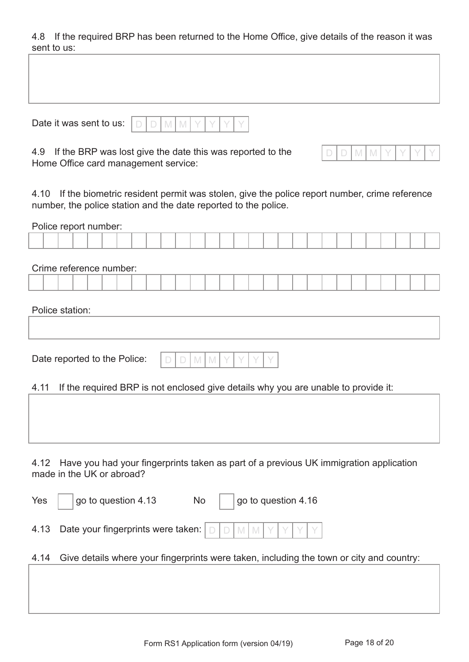4.8 If the required BRP has been returned to the Home Office, give details of the reason it was sent to us:

Date it was sent to us:  $\boxed{D}$ 

|--|--|--|--|--|--|--|--|

4.9 If the BRP was lost give the date this was reported to the Home Office card management service:

|--|--|--|--|--|

4.10 If the biometric resident permit was stolen, give the police report number, crime reference number, the police station and the date reported to the police.

| Police report number:                                                                                                      |
|----------------------------------------------------------------------------------------------------------------------------|
|                                                                                                                            |
| Crime reference number:                                                                                                    |
|                                                                                                                            |
| Police station:                                                                                                            |
|                                                                                                                            |
| Date reported to the Police:<br>M<br>$\mathbb{M}$<br>$\begin{array}{c} \end{array}$                                        |
| If the required BRP is not enclosed give details why you are unable to provide it:<br>4.11                                 |
|                                                                                                                            |
| Have you had your fingerprints taken as part of a previous UK immigration application<br>4.12<br>made in the UK or abroad? |
| go to question 4.16<br>go to question 4.13<br>Yes<br>No                                                                    |
| Date your fingerprints were taken:<br>4.13<br>M M<br>$\Box$                                                                |
| Give details where your fingerprints were taken, including the town or city and country:<br>4.14                           |
|                                                                                                                            |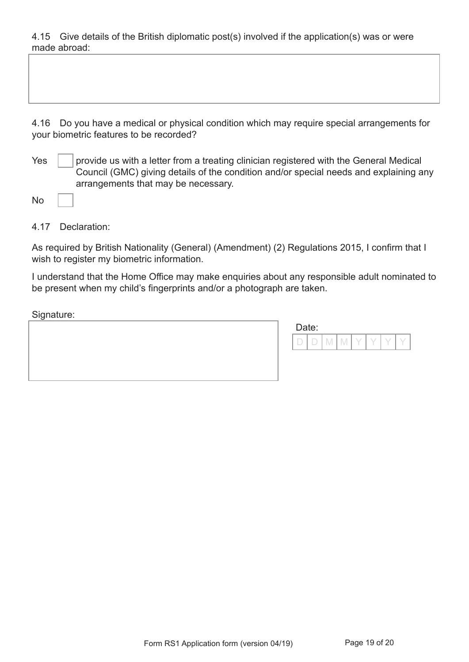4.15 Give details of the British diplomatic post(s) involved if the application(s) was or were made abroad:

4.16 Do you have a medical or physical condition which may require special arrangements for your biometric features to be recorded?

 $Yes \mid$  provide us with a letter from a treating clinician registered with the General Medical Council (GMC) giving details of the condition and/or special needs and explaining any arrangements that may be necessary.

4.17 Declaration:

As required by British Nationality (General) (Amendment) (2) Regulations 2015, I confirm that I wish to register my biometric information.

I understand that the Home Office may make enquiries about any responsible adult nominated to be present when my child's fingerprints and/or a photograph are taken.

Signature:

| ັ |                                                                                     |
|---|-------------------------------------------------------------------------------------|
|   | Date:                                                                               |
|   | $\overline{\phantom{a}}$<br>$\Gamma$<br>$\sim$<br>m.<br>. V<br>M<br>$\Box$<br>. IV! |
|   |                                                                                     |